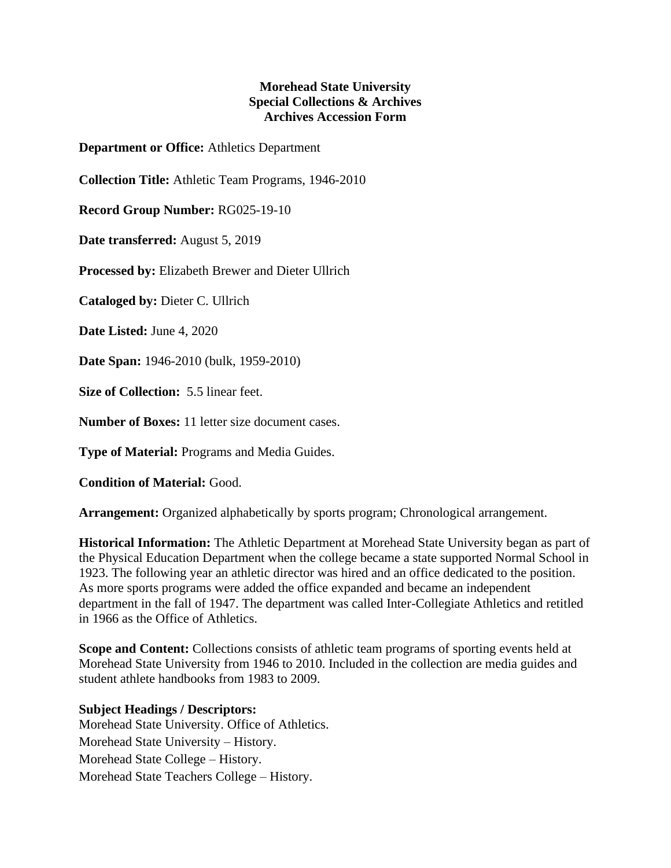## **Morehead State University Special Collections & Archives Archives Accession Form**

**Department or Office:** Athletics Department

**Collection Title:** Athletic Team Programs, 1946-2010

**Record Group Number:** RG025-19-10

**Date transferred:** August 5, 2019

**Processed by:** Elizabeth Brewer and Dieter Ullrich

**Cataloged by:** Dieter C. Ullrich

**Date Listed:** June 4, 2020

**Date Span:** 1946-2010 (bulk, 1959-2010)

**Size of Collection:** 5.5 linear feet.

**Number of Boxes:** 11 letter size document cases.

**Type of Material:** Programs and Media Guides.

**Condition of Material:** Good.

**Arrangement:** Organized alphabetically by sports program; Chronological arrangement.

**Historical Information:** The Athletic Department at Morehead State University began as part of the Physical Education Department when the college became a state supported Normal School in 1923. The following year an athletic director was hired and an office dedicated to the position. As more sports programs were added the office expanded and became an independent department in the fall of 1947. The department was called Inter-Collegiate Athletics and retitled in 1966 as the Office of Athletics.

**Scope and Content:** Collections consists of athletic team programs of sporting events held at Morehead State University from 1946 to 2010. Included in the collection are media guides and student athlete handbooks from 1983 to 2009.

## **Subject Headings / Descriptors:**

Morehead State University. Office of Athletics. Morehead State University – History. Morehead State College – History. Morehead State Teachers College – History.